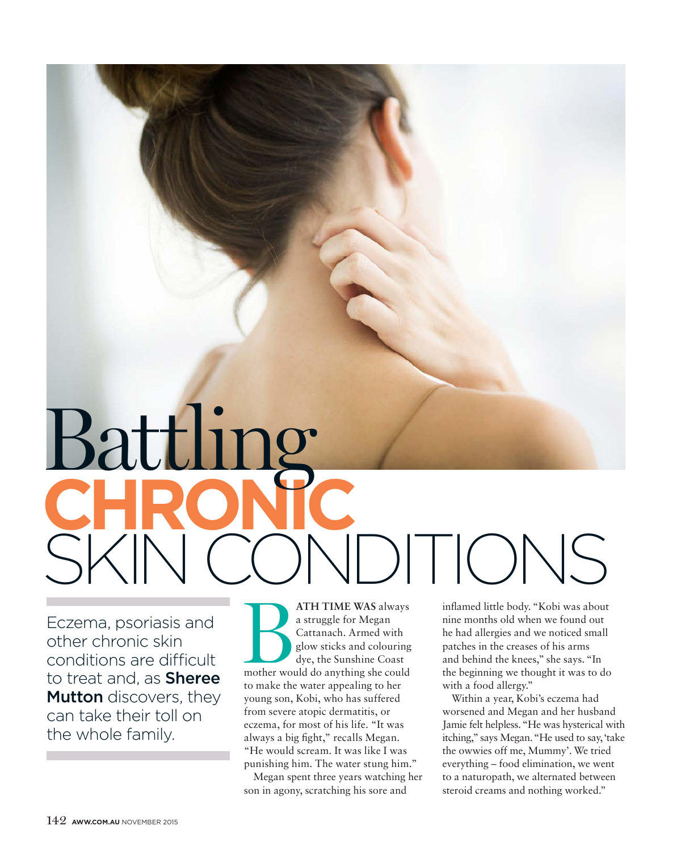# **CHRONIC** SKIN CONDITIONS Battling

Eczema, psoriasis and other chronic skin conditions are difficult to treat and, as **Sheree Mutton** discovers, they can take their toll on the whole family.

**ATH TIME WAS** always<br>
a struggle for Megan<br>
Cattanach. Armed with<br>
glow sticks and colouring<br>
dye, the Sunshine Coast<br>
mother would do anything she could a struggle for Megan Cattanach. Armed with glow sticks and colouring dye, the Sunshine Coast to make the water appealing to her young son, Kobi, who has suffered from severe atopic dermatitis, or eczema, for most of his life. "It was always a big fight," recalls Megan. "He would scream. It was like I was punishing him. The water stung him."

Megan spent three years watching her son in agony, scratching his sore and

inflamed little body. "Kobi was about nine months old when we found out he had allergies and we noticed small patches in the creases of his arms and behind the knees," she says. "In the beginning we thought it was to do with a food allergy."

Within a year, Kobi's eczema had worsened and Megan and her husband Jamie felt helpless. "He was hysterical with itching," says Megan. "He used to say, 'take the owwies off me, Mummy'. We tried everything – food elimination, we went to a naturopath, we alternated between steroid creams and nothing worked."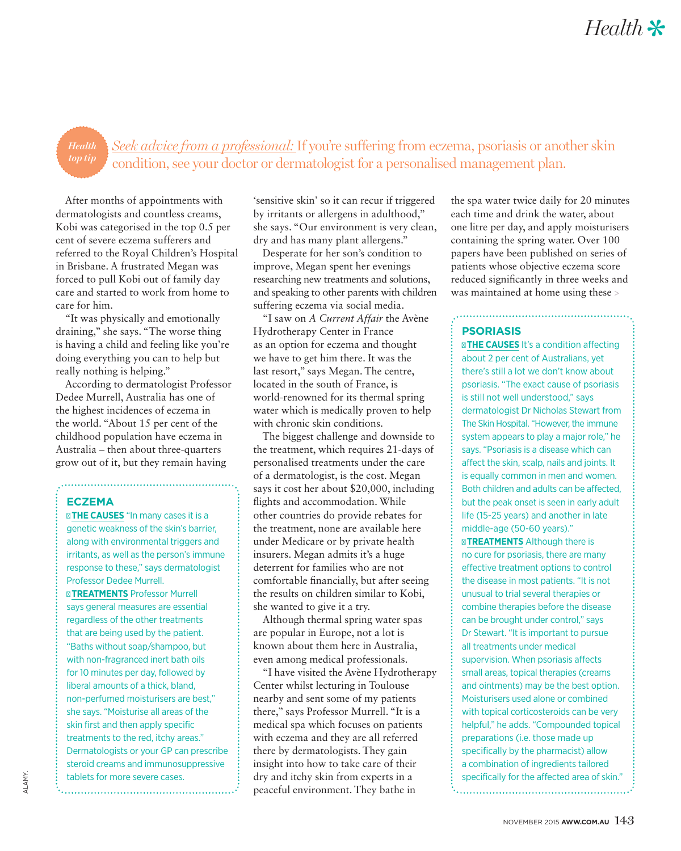### *Seek advice from a professional:* If you're suffering from eczema, psoriasis or another skin condition, see your doctor or dermatologist for a personalised management plan. *Health*

After months of appointments with dermatologists and countless creams, Kobi was categorised in the top 0.5 per cent of severe eczema sufferers and referred to the Royal Children's Hospital in Brisbane. A frustrated Megan was forced to pull Kobi out of family day care and started to work from home to care for him.

"It was physically and emotionally draining," she says. "The worse thing is having a child and feeling like you're doing everything you can to help but really nothing is helping."

According to dermatologist Professor Dedee Murrell, Australia has one of the highest incidences of eczema in the world. "About 15 per cent of the childhood population have eczema in Australia – then about three-quarters grow out of it, but they remain having

## **ECZEMA**

**THE CAUSES** "In many cases it is a genetic weakness of the skin's barrier, along with environmental triggers and irritants, as well as the person's immune response to these," says dermatologist Professor Dedee Murrell.

**TREATMENTS** Professor Murrell says general measures are essential regardless of the other treatments that are being used by the patient. "Baths without soap/shampoo, but with non-fragranced inert bath oils for 10 minutes per day, followed by liberal amounts of a thick, bland, non-perfumed moisturisers are best," she says. "Moisturise all areas of the skin first and then apply specific treatments to the red, itchy areas." Dermatologists or your GP can prescribe steroid creams and immunosuppressive tablets for more severe cases.

...................................

'sensitive skin' so it can recur if triggered by irritants or allergens in adulthood," she says. "Our environment is very clean, dry and has many plant allergens."

Desperate for her son's condition to improve, Megan spent her evenings researching new treatments and solutions, and speaking to other parents with children suffering eczema via social media.

"I saw on *A Current Affair* the Avène Hydrotherapy Center in France as an option for eczema and thought we have to get him there. It was the last resort," says Megan. The centre, located in the south of France, is world-renowned for its thermal spring water which is medically proven to help with chronic skin conditions.

The biggest challenge and downside to the treatment, which requires 21-days of personalised treatments under the care of a dermatologist, is the cost. Megan says it cost her about \$20,000, including flights and accommodation. While other countries do provide rebates for the treatment, none are available here under Medicare or by private health insurers. Megan admits it's a huge deterrent for families who are not comfortable financially, but after seeing the results on children similar to Kobi, she wanted to give it a try.

Although thermal spring water spas are popular in Europe, not a lot is known about them here in Australia, even among medical professionals.

"I have visited the Avène Hydrotherapy Center whilst lecturing in Toulouse nearby and sent some of my patients there," says Professor Murrell. "It is a medical spa which focuses on patients with eczema and they are all referred there by dermatologists. They gain insight into how to take care of their dry and itchy skin from experts in a peaceful environment. They bathe in

the spa water twice daily for 20 minutes each time and drink the water, about one litre per day, and apply moisturisers containing the spring water. Over 100 papers have been published on series of patients whose objective eczema score reduced significantly in three weeks and was maintained at home using these >

## **PSORIASIS**

**THE CAUSES** It's a condition affecting about 2 per cent of Australians, yet there's still a lot we don't know about psoriasis. "The exact cause of psoriasis is still not well understood," says dermatologist Dr Nicholas Stewart from The Skin Hospital. "However, the immune system appears to play a major role," he says. "Psoriasis is a disease which can affect the skin, scalp, nails and joints. It is equally common in men and women. Both children and adults can be affected, but the peak onset is seen in early adult life (15-25 years) and another in late middle-age (50-60 years)."

**TREATMENTS** Although there is no cure for psoriasis, there are many effective treatment options to control the disease in most patients. "It is not unusual to trial several therapies or combine therapies before the disease can be brought under control," says Dr Stewart. "It is important to pursue all treatments under medical supervision. When psoriasis affects small areas, topical therapies (creams and ointments) may be the best option. Moisturisers used alone or combined with topical corticosteroids can be very helpful," he adds. "Compounded topical preparations (i.e. those made up specifically by the pharmacist) allow a combination of ingredients tailored specifically for the affected area of skin." 

ALAMY.